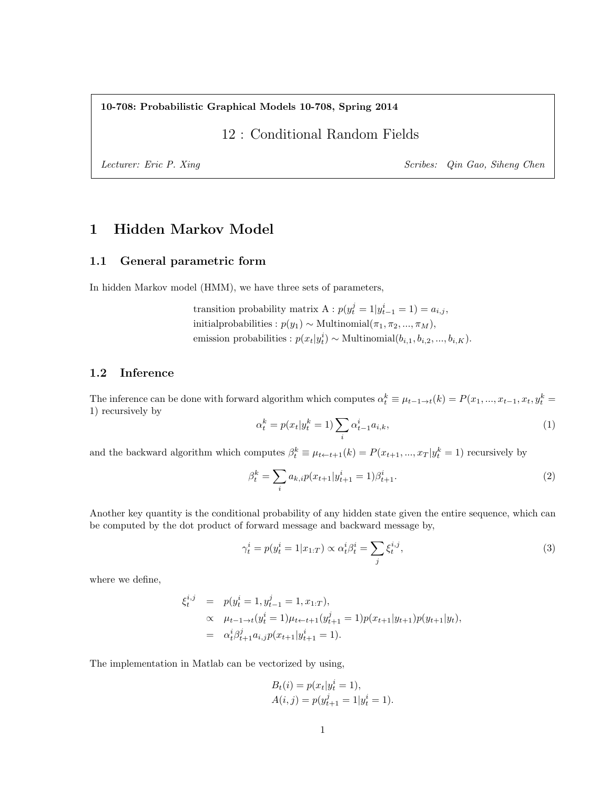10-708: Probabilistic Graphical Models 10-708, Spring 2014

12 : Conditional Random Fields

Lecturer: Eric P. Xing Scribes: Qin Gao, Siheng Chen

# 1 Hidden Markov Model

## 1.1 General parametric form

In hidden Markov model (HMM), we have three sets of parameters,

transition probability matrix  $A : p(y_t^j = 1 | y_{t-1}^i = 1) = a_{i,j}$ , initialprobabilities :  $p(y_1) \sim \text{Multinomial}(\pi_1, \pi_2, ..., \pi_M),$ emission probabilities :  $p(x_t|y_t^i) \sim \text{Multinomial}(b_{i,1}, b_{i,2}, ..., b_{i,K}).$ 

## 1.2 Inference

The inference can be done with forward algorithm which computes  $\alpha_t^k \equiv \mu_{t-1 \to t}(k) = P(x_1, ..., x_{t-1}, x_t, y_t^k =$ 1) recursively by

$$
\alpha_t^k = p(x_t | y_t^k = 1) \sum_i \alpha_{t-1}^i a_{i,k}, \tag{1}
$$

and the backward algorithm which computes  $\beta_t^k \equiv \mu_{t \leftarrow t+1}(k) = P(x_{t+1}, ..., x_T | y_t^k = 1)$  recursively by

$$
\beta_t^k = \sum_i a_{k,i} p(x_{t+1} | y_{t+1}^i = 1) \beta_{t+1}^i.
$$
\n(2)

Another key quantity is the conditional probability of any hidden state given the entire sequence, which can be computed by the dot product of forward message and backward message by,

$$
\gamma_t^i = p(y_t^i = 1 | x_{1:T}) \propto \alpha_t^i \beta_t^i = \sum_j \xi_t^{i,j},\tag{3}
$$

where we define,

$$
\xi_t^{i,j} = p(y_t^i = 1, y_{t-1}^j = 1, x_{1:T}),
$$
  
\n
$$
\propto \mu_{t-1 \to t}(y_t^i = 1)\mu_{t \gets t+1}(y_{t+1}^j = 1)p(x_{t+1}|y_{t+1})p(y_{t+1}|y_t),
$$
  
\n
$$
= \alpha_t^i \beta_{t+1}^j a_{i,j} p(x_{t+1}|y_{t+1}^i = 1).
$$

The implementation in Matlab can be vectorized by using,

$$
B_t(i) = p(x_t|y_t^i = 1),
$$
  
 
$$
A(i, j) = p(y_{t+1}^j = 1|y_t^i = 1).
$$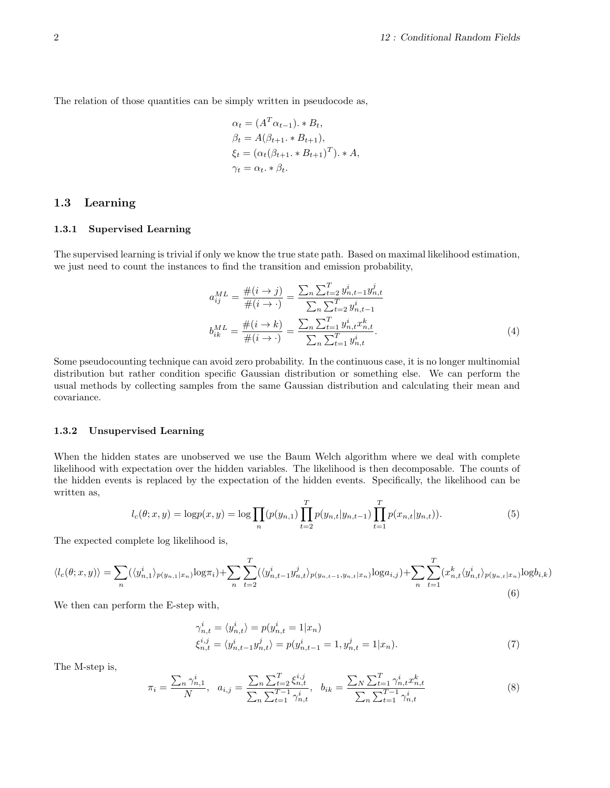The relation of those quantities can be simply written in pseudocode as,

$$
\alpha_t = (A^T \alpha_{t-1}). * B_t,
$$
  
\n
$$
\beta_t = A(\beta_{t+1}. * B_{t+1}),
$$
  
\n
$$
\xi_t = (\alpha_t(\beta_{t+1}. * B_{t+1})^T). * A,
$$
  
\n
$$
\gamma_t = \alpha_t. * \beta_t.
$$

## 1.3 Learning

### 1.3.1 Supervised Learning

The supervised learning is trivial if only we know the true state path. Based on maximal likelihood estimation, we just need to count the instances to find the transition and emission probability,

$$
a_{ij}^{ML} = \frac{\#(i \to j)}{\#(i \to \cdot)} = \frac{\sum_{n} \sum_{t=2}^{T} y_{n,t-1}^{i} y_{n,t}^{j}}{\sum_{n} \sum_{t=2}^{T} y_{n,t-1}^{i}}
$$

$$
b_{ik}^{ML} = \frac{\#(i \to k)}{\#(i \to \cdot)} = \frac{\sum_{n} \sum_{t=1}^{T} y_{n,t}^{i} x_{n,t}^{k}}{\sum_{n} \sum_{t=1}^{T} y_{n,t}^{i}}
$$
(4)

Some pseudocounting technique can avoid zero probability. In the continuous case, it is no longer multinomial distribution but rather condition specific Gaussian distribution or something else. We can perform the usual methods by collecting samples from the same Gaussian distribution and calculating their mean and covariance.

### 1.3.2 Unsupervised Learning

When the hidden states are unobserved we use the Baum Welch algorithm where we deal with complete likelihood with expectation over the hidden variables. The likelihood is then decomposable. The counts of the hidden events is replaced by the expectation of the hidden events. Specifically, the likelihood can be written as,

$$
l_c(\theta; x, y) = \log p(x, y) = \log \prod_n (p(y_{n,1}) \prod_{t=2}^T p(y_{n,t} | y_{n,t-1}) \prod_{t=1}^T p(x_{n,t} | y_{n,t})).
$$
\n(5)

The expected complete log likelihood is,

$$
\langle l_c(\theta; x, y) \rangle = \sum_n (\langle y_{n,1}^i \rangle_{p(y_{n,1}|x_n)} \log \pi_i) + \sum_n \sum_{t=2}^T (\langle y_{n,t-1}^i y_{n,t}^j \rangle_{p(y_{n,t-1}, y_{n,t}|x_n)} \log a_{i,j}) + \sum_n \sum_{t=1}^T (x_{n,t}^k \langle y_{n,t}^i \rangle_{p(y_{n,t}|x_n)} \log b_{i,k})
$$
\n(6)

We then can perform the E-step with,

$$
\gamma_{n,t}^i = \langle y_{n,t}^i \rangle = p(y_{n,t}^i = 1 | x_n) \n\xi_{n,t}^{i,j} = \langle y_{n,t-1}^i y_{n,t}^j \rangle = p(y_{n,t-1}^i = 1, y_{n,t}^j = 1 | x_n).
$$
\n(7)

The M-step is,

$$
\pi_i = \frac{\sum_n \gamma_{n,1}^i}{N}, \quad a_{i,j} = \frac{\sum_n \sum_{t=2}^T \xi_{n,t}^{i,j}}{\sum_n \sum_{t=1}^T \gamma_{n,t}^i}, \quad b_{ik} = \frac{\sum_N \sum_{t=1}^T \gamma_{n,t}^i x_{n,t}^k}{\sum_n \sum_{t=1}^T \gamma_{n,t}^i}
$$
(8)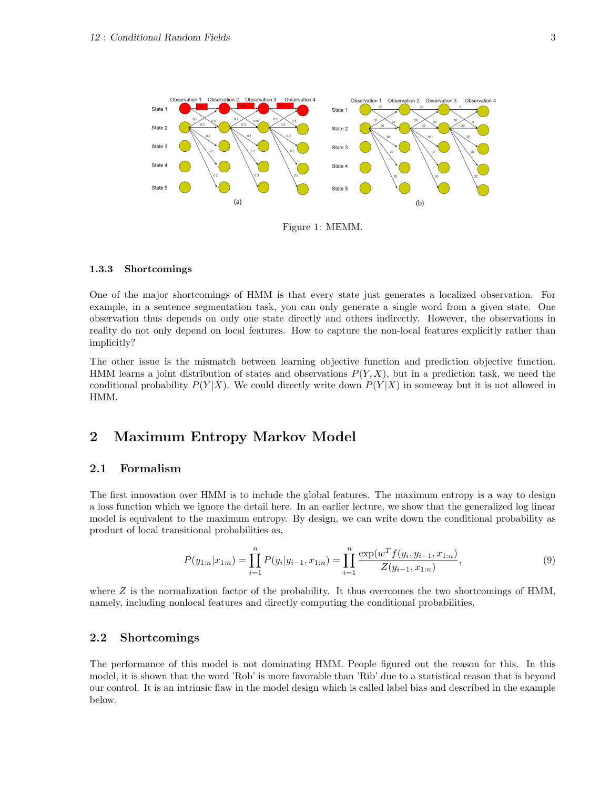

Figure 1: MEMM.

### 1.3.3 Shortcomings

One of the major shortcomings of HMM is that every state just generates a localized observation. For example, in a sentence segmentation task, you can only generate a single word from a given state. One observation thus depends on only one state directly and others indirectly. However, the observations in reality do not only depend on local features. How to capture the non-local features explicitly rather than implicitly?

The other issue is the mismatch between learning objective function and prediction objective function. HMM learns a joint distribution of states and observations  $P(Y, X)$ , but in a prediction task, we need the conditional probability  $P(Y|X)$ . We could directly write down  $P(Y|X)$  in someway but it is not allowed in HMM.

## 2 Maximum Entropy Markov Model

## 2.1 Formalism

The first innovation over HMM is to include the global features. The maximum entropy is a way to design a loss function which we ignore the detail here. In an earlier lecture, we show that the generalized log linear model is equivalent to the maximum entropy. By design, we can write down the conditional probability as product of local transitional probabilities as,

$$
P(y_{1:n}|x_{1:n}) = \prod_{i=1}^{n} P(y_i|y_{i-1}, x_{1:n}) = \prod_{i=1}^{n} \frac{\exp(w^T f(y_i, y_{i-1}, x_{1:n})}{Z(y_{i-1}, x_{1:n})},
$$
\n(9)

where  $Z$  is the normalization factor of the probability. It thus overcomes the two shortcomings of HMM, namely, including nonlocal features and directly computing the conditional probabilities.

## 2.2 Shortcomings

The performance of this model is not dominating HMM. People figured out the reason for this. In this model, it is shown that the word 'Rob' is more favorable than 'Rib' due to a statistical reason that is beyond our control. It is an intrinsic flaw in the model design which is called label bias and described in the example below.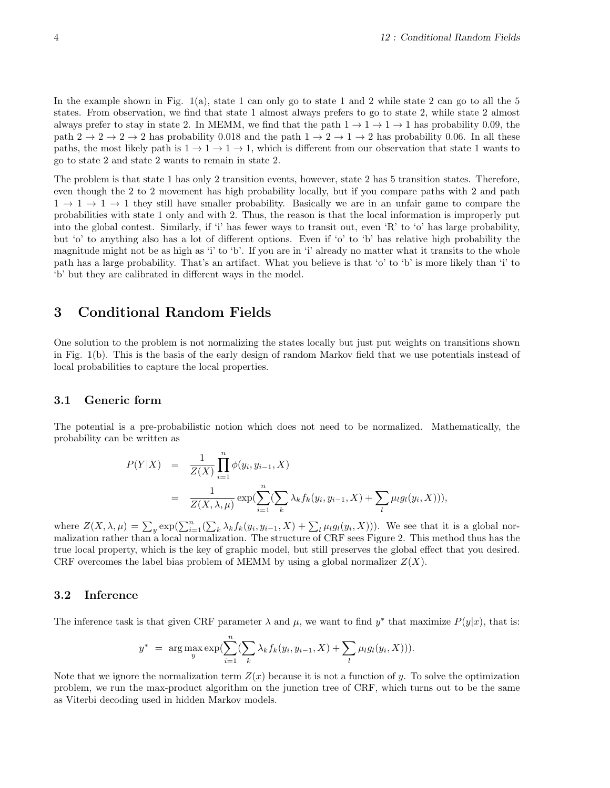In the example shown in Fig. 1(a), state 1 can only go to state 1 and 2 while state 2 can go to all the 5 states. From observation, we find that state 1 almost always prefers to go to state 2, while state 2 almost always prefer to stay in state 2. In MEMM, we find that the path  $1 \rightarrow 1 \rightarrow 1 \rightarrow 1$  has probability 0.09, the path  $2 \rightarrow 2 \rightarrow 2 \rightarrow 2$  has probability 0.018 and the path  $1 \rightarrow 2 \rightarrow 1 \rightarrow 2$  has probability 0.06. In all these paths, the most likely path is  $1 \rightarrow 1 \rightarrow 1$ , which is different from our observation that state 1 wants to go to state 2 and state 2 wants to remain in state 2.

The problem is that state 1 has only 2 transition events, however, state 2 has 5 transition states. Therefore, even though the 2 to 2 movement has high probability locally, but if you compare paths with 2 and path  $1 \rightarrow 1 \rightarrow 1$  they still have smaller probability. Basically we are in an unfair game to compare the probabilities with state 1 only and with 2. Thus, the reason is that the local information is improperly put into the global contest. Similarly, if 'i' has fewer ways to transit out, even 'R' to 'o' has large probability, but 'o' to anything also has a lot of different options. Even if 'o' to 'b' has relative high probability the magnitude might not be as high as 'i' to 'b'. If you are in 'i' already no matter what it transits to the whole path has a large probability. That's an artifact. What you believe is that 'o' to 'b' is more likely than 'i' to 'b' but they are calibrated in different ways in the model.

## 3 Conditional Random Fields

One solution to the problem is not normalizing the states locally but just put weights on transitions shown in Fig. 1(b). This is the basis of the early design of random Markov field that we use potentials instead of local probabilities to capture the local properties.

## 3.1 Generic form

The potential is a pre-probabilistic notion which does not need to be normalized. Mathematically, the probability can be written as

$$
P(Y|X) = \frac{1}{Z(X)} \prod_{i=1}^{n} \phi(y_i, y_{i-1}, X)
$$
  
= 
$$
\frac{1}{Z(X, \lambda, \mu)} \exp(\sum_{i=1}^{n} (\sum_{k} \lambda_k f_k(y_i, y_{i-1}, X) + \sum_{l} \mu_l g_l(y_i, X))),
$$

where  $Z(X, \lambda, \mu) = \sum_{y} \exp(\sum_{i=1}^{n} (\sum_{k} \lambda_k f_k(y_i, y_{i-1}, X) + \sum_{l} \mu_l g_l(y_i, X)))$ . We see that it is a global normalization rather than a local normalization. The structure of CRF sees Figure 2. This method thus has the true local property, which is the key of graphic model, but still preserves the global effect that you desired. CRF overcomes the label bias problem of MEMM by using a global normalizer  $Z(X)$ .

### 3.2 Inference

The inference task is that given CRF parameter  $\lambda$  and  $\mu$ , we want to find  $y^*$  that maximize  $P(y|x)$ , that is:

$$
y^* = \arg \max_{y} \exp(\sum_{i=1}^n (\sum_k \lambda_k f_k(y_i, y_{i-1}, X) + \sum_l \mu_l g_l(y_i, X))).
$$

Note that we ignore the normalization term  $Z(x)$  because it is not a function of y. To solve the optimization problem, we run the max-product algorithm on the junction tree of CRF, which turns out to be the same as Viterbi decoding used in hidden Markov models.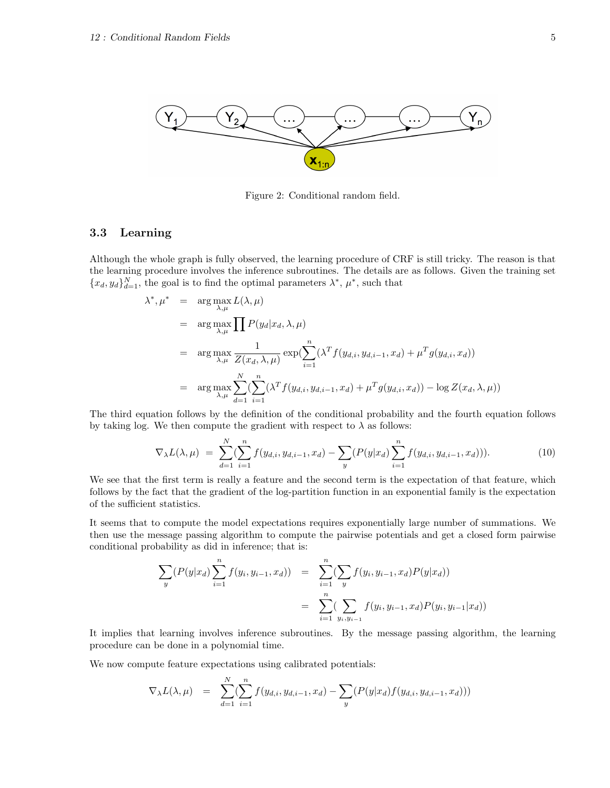

Figure 2: Conditional random field.

## 3.3 Learning

Although the whole graph is fully observed, the learning procedure of CRF is still tricky. The reason is that the learning procedure involves the inference subroutines. The details are as follows. Given the training set  ${x_d, y_d}_{d=1}^N$ , the goal is to find the optimal parameters  $\lambda^*, \mu^*$ , such that

$$
\lambda^*, \mu^* = \arg \max_{\lambda, \mu} L(\lambda, \mu)
$$
  
\n
$$
= \arg \max_{\lambda, \mu} \prod P(y_d | x_d, \lambda, \mu)
$$
  
\n
$$
= \arg \max_{\lambda, \mu} \frac{1}{Z(x_d, \lambda, \mu)} \exp(\sum_{i=1}^n (\lambda^T f(y_{d,i}, y_{d,i-1}, x_d) + \mu^T g(y_{d,i}, x_d))
$$
  
\n
$$
= \arg \max_{\lambda, \mu} \sum_{d=1}^N (\sum_{i=1}^n (\lambda^T f(y_{d,i}, y_{d,i-1}, x_d) + \mu^T g(y_{d,i}, x_d)) - \log Z(x_d, \lambda, \mu))
$$

The third equation follows by the definition of the conditional probability and the fourth equation follows by taking log. We then compute the gradient with respect to  $\lambda$  as follows:

$$
\nabla_{\lambda} L(\lambda, \mu) = \sum_{d=1}^{N} \sum_{i=1}^{n} f(y_{d,i}, y_{d,i-1}, x_d) - \sum_{y} (P(y|x_d) \sum_{i=1}^{n} f(y_{d,i}, y_{d,i-1}, x_d))). \tag{10}
$$

We see that the first term is really a feature and the second term is the expectation of that feature, which follows by the fact that the gradient of the log-partition function in an exponential family is the expectation of the sufficient statistics.

It seems that to compute the model expectations requires exponentially large number of summations. We then use the message passing algorithm to compute the pairwise potentials and get a closed form pairwise conditional probability as did in inference; that is:

$$
\sum_{y} (P(y|x_d) \sum_{i=1}^n f(y_i, y_{i-1}, x_d)) = \sum_{i=1}^n (\sum_{y} f(y_i, y_{i-1}, x_d) P(y|x_d))
$$
  
= 
$$
\sum_{i=1}^n (\sum_{y_i, y_{i-1}} f(y_i, y_{i-1}, x_d) P(y_i, y_{i-1}|x_d))
$$

It implies that learning involves inference subroutines. By the message passing algorithm, the learning procedure can be done in a polynomial time.

We now compute feature expectations using calibrated potentials:

$$
\nabla_{\lambda} L(\lambda, \mu) = \sum_{d=1}^{N} (\sum_{i=1}^{n} f(y_{d,i}, y_{d,i-1}, x_d) - \sum_{y} (P(y|x_d) f(y_{d,i}, y_{d,i-1}, x_d)))
$$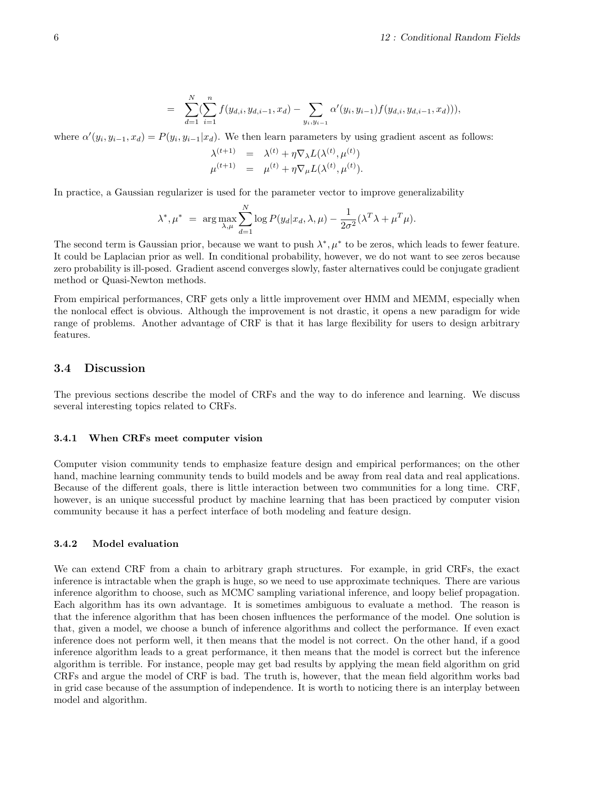$$
= \sum_{d=1}^N (\sum_{i=1}^n f(y_{d,i}, y_{d,i-1}, x_d) - \sum_{y_i, y_{i-1}} \alpha'(y_i, y_{i-1}) f(y_{d,i}, y_{d,i-1}, x_d))),
$$

where  $\alpha'(y_i, y_{i-1}, x_d) = P(y_i, y_{i-1}|x_d)$ . We then learn parameters by using gradient ascent as follows:

$$
\lambda^{(t+1)} = \lambda^{(t)} + \eta \nabla_{\lambda} L(\lambda^{(t)}, \mu^{(t)}) \n\mu^{(t+1)} = \mu^{(t)} + \eta \nabla_{\mu} L(\lambda^{(t)}, \mu^{(t)}).
$$

In practice, a Gaussian regularizer is used for the parameter vector to improve generalizability

$$
\lambda^*, \mu^* = \arg \max_{\lambda, \mu} \sum_{d=1}^N \log P(y_d | x_d, \lambda, \mu) - \frac{1}{2\sigma^2} (\lambda^T \lambda + \mu^T \mu).
$$

The second term is Gaussian prior, because we want to push  $\lambda^*, \mu^*$  to be zeros, which leads to fewer feature. It could be Laplacian prior as well. In conditional probability, however, we do not want to see zeros because zero probability is ill-posed. Gradient ascend converges slowly, faster alternatives could be conjugate gradient method or Quasi-Newton methods.

From empirical performances, CRF gets only a little improvement over HMM and MEMM, especially when the nonlocal effect is obvious. Although the improvement is not drastic, it opens a new paradigm for wide range of problems. Another advantage of CRF is that it has large flexibility for users to design arbitrary features.

### 3.4 Discussion

The previous sections describe the model of CRFs and the way to do inference and learning. We discuss several interesting topics related to CRFs.

#### 3.4.1 When CRFs meet computer vision

Computer vision community tends to emphasize feature design and empirical performances; on the other hand, machine learning community tends to build models and be away from real data and real applications. Because of the different goals, there is little interaction between two communities for a long time. CRF, however, is an unique successful product by machine learning that has been practiced by computer vision community because it has a perfect interface of both modeling and feature design.

### 3.4.2 Model evaluation

We can extend CRF from a chain to arbitrary graph structures. For example, in grid CRFs, the exact inference is intractable when the graph is huge, so we need to use approximate techniques. There are various inference algorithm to choose, such as MCMC sampling variational inference, and loopy belief propagation. Each algorithm has its own advantage. It is sometimes ambiguous to evaluate a method. The reason is that the inference algorithm that has been chosen influences the performance of the model. One solution is that, given a model, we choose a bunch of inference algorithms and collect the performance. If even exact inference does not perform well, it then means that the model is not correct. On the other hand, if a good inference algorithm leads to a great performance, it then means that the model is correct but the inference algorithm is terrible. For instance, people may get bad results by applying the mean field algorithm on grid CRFs and argue the model of CRF is bad. The truth is, however, that the mean field algorithm works bad in grid case because of the assumption of independence. It is worth to noticing there is an interplay between model and algorithm.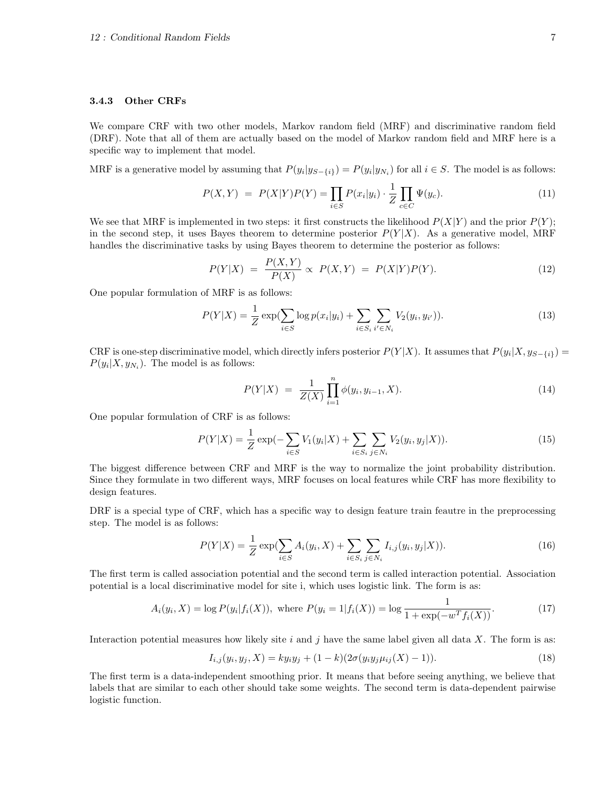#### 3.4.3 Other CRFs

We compare CRF with two other models, Markov random field (MRF) and discriminative random field (DRF). Note that all of them are actually based on the model of Markov random field and MRF here is a specific way to implement that model.

MRF is a generative model by assuming that  $P(y_i|y_{S-\{i\}}) = P(y_i|y_{N_i})$  for all  $i \in S$ . The model is as follows:

$$
P(X,Y) = P(X|Y)P(Y) = \prod_{i \in S} P(x_i|y_i) \cdot \frac{1}{Z} \prod_{c \in C} \Psi(y_c). \tag{11}
$$

We see that MRF is implemented in two steps: it first constructs the likelihood  $P(X|Y)$  and the prior  $P(Y)$ ; in the second step, it uses Bayes theorem to determine posterior  $P(Y|X)$ . As a generative model, MRF handles the discriminative tasks by using Bayes theorem to determine the posterior as follows:

$$
P(Y|X) = \frac{P(X,Y)}{P(X)} \propto P(X,Y) = P(X|Y)P(Y).
$$
\n(12)

One popular formulation of MRF is as follows:

$$
P(Y|X) = \frac{1}{Z} \exp\left(\sum_{i \in S} \log p(x_i|y_i) + \sum_{i \in S_i} \sum_{i' \in N_i} V_2(y_i, y_{i'})\right).
$$
 (13)

CRF is one-step discriminative model, which directly infers posterior  $P(Y|X)$ . It assumes that  $P(y_i|X, y_{S-\{i\}}) =$  $P(y_i|X, y_{N_i})$ . The model is as follows:

$$
P(Y|X) = \frac{1}{Z(X)} \prod_{i=1}^{n} \phi(y_i, y_{i-1}, X).
$$
 (14)

One popular formulation of CRF is as follows:

$$
P(Y|X) = \frac{1}{Z} \exp(-\sum_{i \in S} V_1(y_i|X) + \sum_{i \in S_i} \sum_{j \in N_i} V_2(y_i, y_j|X)).
$$
\n(15)

The biggest difference between CRF and MRF is the way to normalize the joint probability distribution. Since they formulate in two different ways, MRF focuses on local features while CRF has more flexibility to design features.

DRF is a special type of CRF, which has a specific way to design feature train feautre in the preprocessing step. The model is as follows:

$$
P(Y|X) = \frac{1}{Z} \exp\left(\sum_{i \in S} A_i(y_i, X) + \sum_{i \in S_i} \sum_{j \in N_i} I_{i,j}(y_i, y_j | X)\right).
$$
 (16)

The first term is called association potential and the second term is called interaction potential. Association potential is a local discriminative model for site i, which uses logistic link. The form is as:

$$
A_i(y_i, X) = \log P(y_i | f_i(X)), \text{ where } P(y_i = 1 | f_i(X)) = \log \frac{1}{1 + \exp(-w^T f_i(X))}.
$$
 (17)

Interaction potential measures how likely site  $i$  and  $j$  have the same label given all data  $X$ . The form is as:

$$
I_{i,j}(y_i, y_j, X) = ky_i y_j + (1 - k)(2\sigma(y_i y_j \mu_{ij}(X) - 1)).
$$
\n(18)

The first term is a data-independent smoothing prior. It means that before seeing anything, we believe that labels that are similar to each other should take some weights. The second term is data-dependent pairwise logistic function.